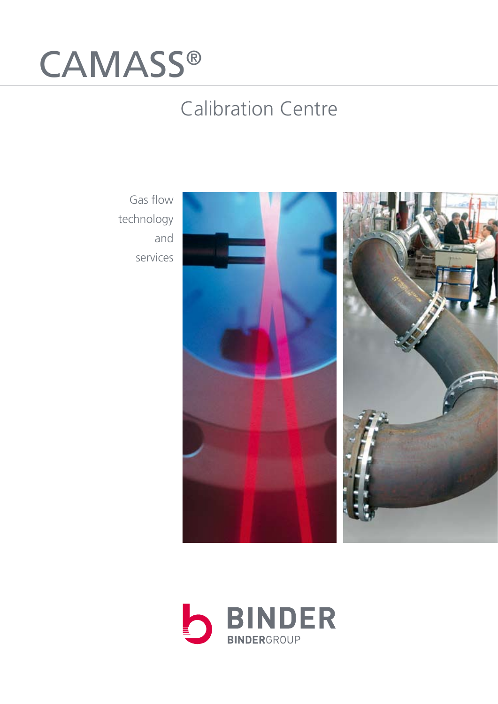

## Calibration Centre

Gas flow technology and services



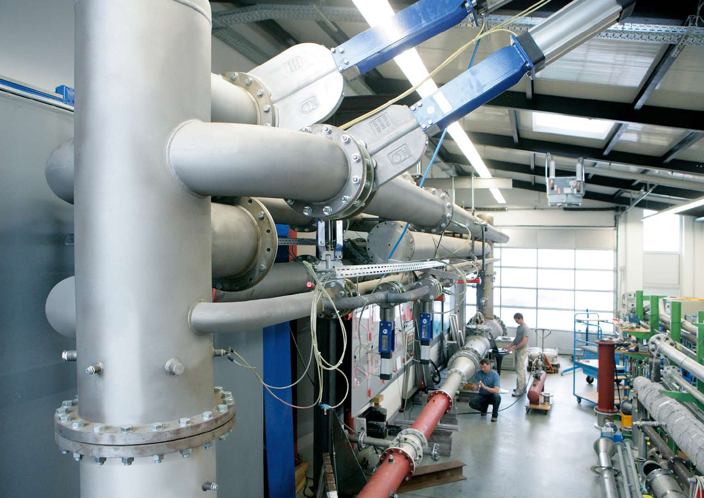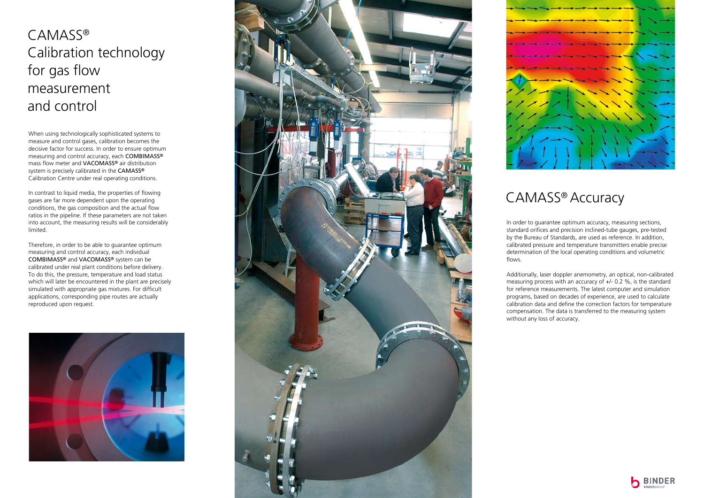## CAMASS ® Calibration technology for gas flow measurement and control

When using technologically sophisticated systems to measure and control gases, calibration becomes the decisive factor for success. In order to ensure optimum measuring and control accuracy, each COMBIMASS® mass flow meter and VACOMASS ® air distribution system is precisely calibrated in the CAMASS ® Calibration Centre under real operating conditions.

In contrast to liquid media, the properties of flowing gases are far more dependent upon the operating conditions, the gas composition and the actual flow ratios in the pipeline. If these parameters are not taken into account, the measuring results will be considerably limited.

Therefore, in order to be able to guarantee optimum measuring and control accuracy, each individual COMBIMASS ® and VACOMASS ® system can be calibrated under real plant conditions before delivery. To do this, the pressure, temperature and load status which will later be encountered in the plant are precisely simulated with appropriate gas mixtures. For difficult applications, corresponding pipe routes are actually reproduced upon request.







In order to guarantee optimum accuracy, measuring sections, standard orifices and precision inclined-tube gauges, pre-tested by the Bureau of Standards, are used as reference. In addition, calibrated pressure and temperature transmitters enable precise determination of the local operating conditions and volumetric



flows.

Additionally, laser doppler anemometry, an optical, non-calibrated measuring process with an accuracy of +/- 0.2 %, is the standard for reference measurements. The latest computer and simulation programs, based on decades of experience, are used to calculate calibration data and define the correction factors for temperature compensation. The data is transferred to the measuring system without any loss of accuracy.

# CAMASS® Accuracy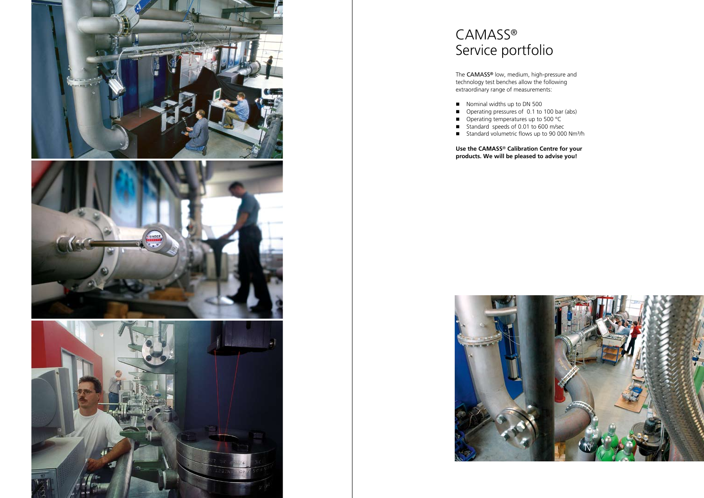

### CAMASS® Service portfolio

The **CAMASS®** low, medium, high-pressure and technology test benches allow the following extraordinary range of measurements:

- Nominal widths up to DN 500
- Operating pressures of 0.1 to 100 bar (abs) Ξ
- Operating temperatures up to 500 °C Ξ
- Standard speeds of 0.01 to 600 m/sec Ξ Ξ
- Standard volumetric flows up to 90 000 Nm<sup>3</sup>/h

**Use the CAMASS**® **Calibration Centre for your products. We will be pleased to advise you!**

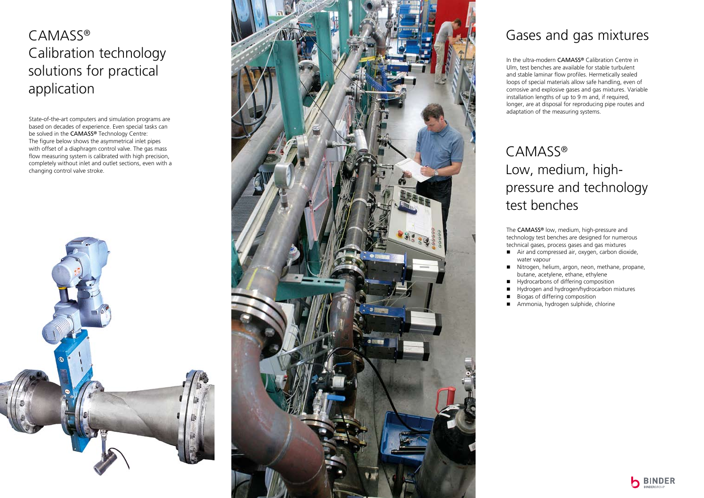## CAMASS ® Calibration technology solutions for practical application

State-of-the-art computers and simulation programs are based on decades of experience. Even special tasks can be solved in the **CAMASS®** Technology Centre: The figure below shows the asymmetrical inlet pipes with offset of a diaphragm control valve. The gas mass flow measuring system is calibrated with high precision, completely without inlet and outlet sections, even with a changing control valve stroke.





### Gases and gas mixtures

■ Nitrogen, helium, argon, neon, methane, propane, butane, acetylene, ethane, ethylene

In the ultra-modern CAMASS ® Calibration Centre in Ulm, test benches are available for stable turbulent and stable laminar flow profiles. Hermetically sealed loops of special materials allow safe handling, even of corrosive and explosive gases and gas mixtures. Variable installation lengths of up to 9 m and, if required, longer, are at disposal for reproducing pipe routes and adaptation of the measuring systems.

The CAMASS ® low, medium, high-pressure and technology test benches are designed for numerous technical gases, process gases and gas mixtures ■ Air and compressed air, oxygen, carbon dioxide, water vapour

Hydrocarbons of differing composition

Hydrogen and hydrogen/hydrocarbon mixtures

Biogas of differing composition

■ Ammonia, hydrogen sulphide, chlorine



# CA MASS® Low, medium, highpressure and technology test benches

- - - - -
- 
- $\blacksquare$  $\blacksquare$
- $\blacksquare$
-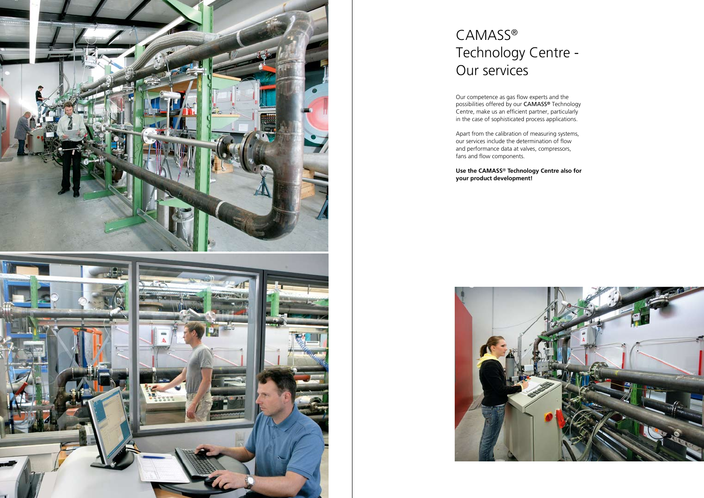

## CAMASS® Technology Centre - Our services

Apart from the calibration of measuring systems, our services include the determination of flow and performance data at valves, compressors, fans and flow components.

 Our competence as gas flow experts and the possibilities offered by our CAMASS® Technology Centre, make us an efficient partner, particularly in the case of sophisticated process applications.

**Use the CAMASS**® **Technology Centre also for your product development!**